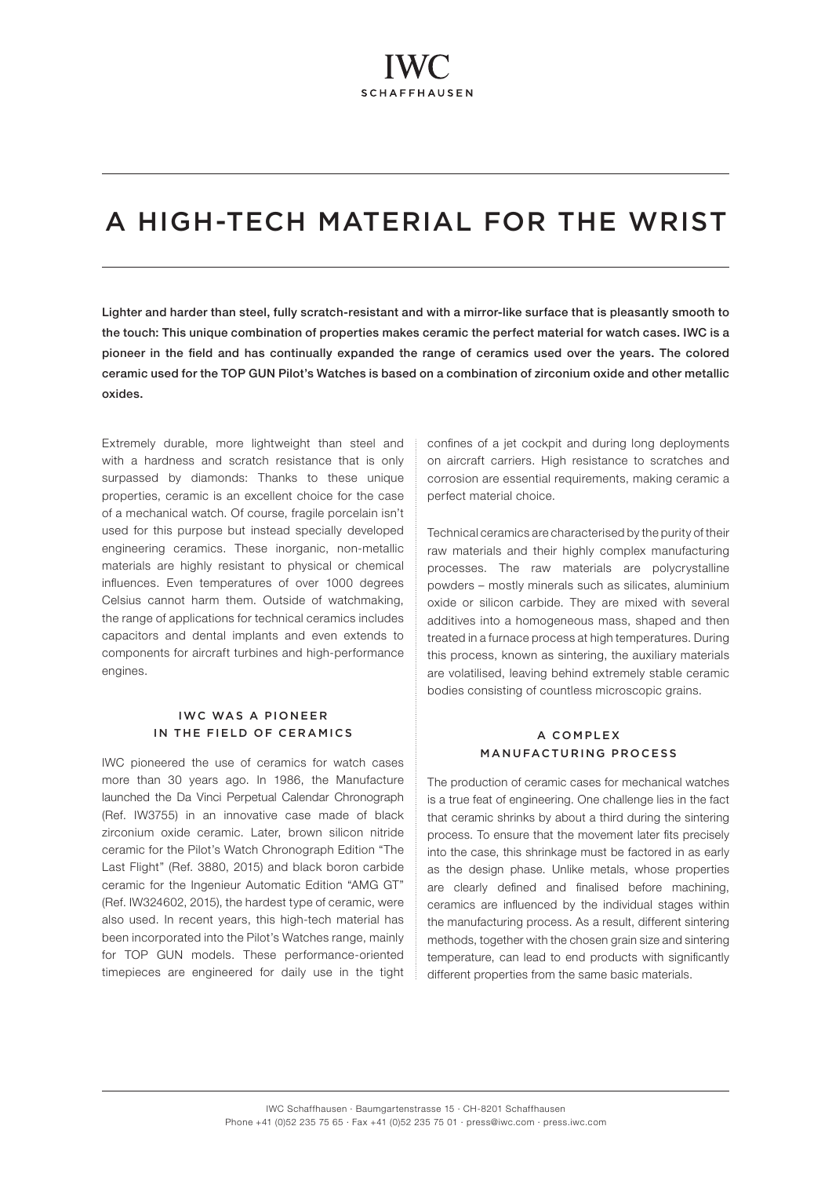# A HIGH-TECH MATERIAL FOR THE WRIST

Lighter and harder than steel, fully scratch-resistant and with a mirror-like surface that is pleasantly smooth to the touch: This unique combination of properties makes ceramic the perfect material for watch cases. IWC is a pioneer in the field and has continually expanded the range of ceramics used over the years. The colored ceramic used for the TOP GUN Pilot's Watches is based on a combination of zirconium oxide and other metallic oxides.

Extremely durable, more lightweight than steel and with a hardness and scratch resistance that is only surpassed by diamonds: Thanks to these unique properties, ceramic is an excellent choice for the case of a mechanical watch. Of course, fragile porcelain isn't used for this purpose but instead specially developed engineering ceramics. These inorganic, non-metallic materials are highly resistant to physical or chemical influences. Even temperatures of over 1000 degrees Celsius cannot harm them. Outside of watchmaking, the range of applications for technical ceramics includes capacitors and dental implants and even extends to components for aircraft turbines and high-performance engines.

# IWC WAS A PIONEER IN THE FIELD OF CERAMICS

IWC pioneered the use of ceramics for watch cases more than 30 years ago. In 1986, the Manufacture launched the Da Vinci Perpetual Calendar Chronograph (Ref. IW3755) in an innovative case made of black zirconium oxide ceramic. Later, brown silicon nitride ceramic for the Pilot's Watch Chronograph Edition "The Last Flight" (Ref. 3880, 2015) and black boron carbide ceramic for the Ingenieur Automatic Edition "AMG GT" (Ref. IW324602, 2015), the hardest type of ceramic, were also used. In recent years, this high-tech material has been incorporated into the Pilot's Watches range, mainly for TOP GUN models. These performance-oriented timepieces are engineered for daily use in the tight confines of a jet cockpit and during long deployments on aircraft carriers. High resistance to scratches and corrosion are essential requirements, making ceramic a perfect material choice.

Technical ceramics are characterised by the purity of their raw materials and their highly complex manufacturing processes. The raw materials are polycrystalline powders – mostly minerals such as silicates, aluminium oxide or silicon carbide. They are mixed with several additives into a homogeneous mass, shaped and then treated in a furnace process at high temperatures. During this process, known as sintering, the auxiliary materials are volatilised, leaving behind extremely stable ceramic bodies consisting of countless microscopic grains.

# A COMPLEX MANUFACTURING PROCESS

The production of ceramic cases for mechanical watches is a true feat of engineering. One challenge lies in the fact that ceramic shrinks by about a third during the sintering process. To ensure that the movement later fits precisely into the case, this shrinkage must be factored in as early as the design phase. Unlike metals, whose properties are clearly defined and finalised before machining, ceramics are influenced by the individual stages within the manufacturing process. As a result, different sintering methods, together with the chosen grain size and sintering temperature, can lead to end products with significantly different properties from the same basic materials.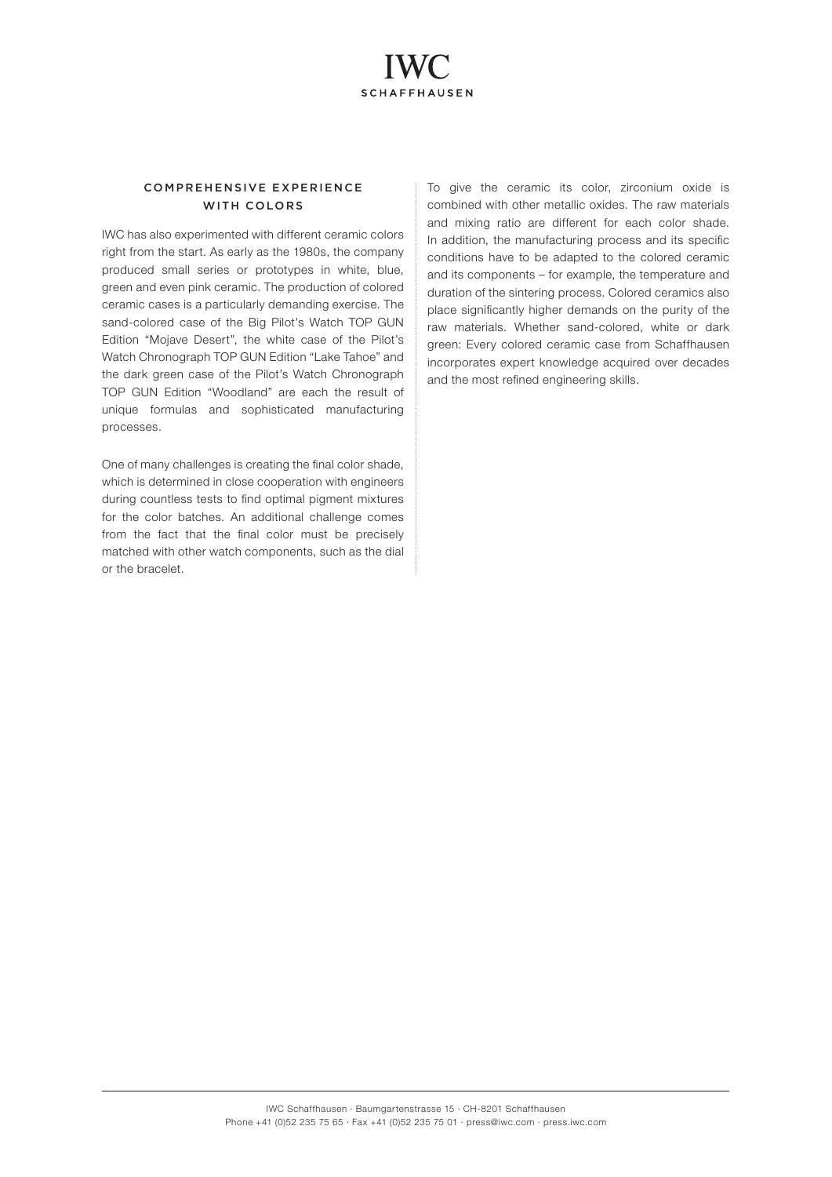

## COMPREHENSIVE EXPERIENCE WITH COLORS

IWC has also experimented with different ceramic colors right from the start. As early as the 1980s, the company produced small series or prototypes in white, blue, green and even pink ceramic. The production of colored ceramic cases is a particularly demanding exercise. The sand-colored case of the Big Pilot's Watch TOP GUN Edition "Mojave Desert", the white case of the Pilot's Watch Chronograph TOP GUN Edition "Lake Tahoe" and the dark green case of the Pilot's Watch Chronograph TOP GUN Edition "Woodland" are each the result of unique formulas and sophisticated manufacturing processes.

One of many challenges is creating the final color shade, which is determined in close cooperation with engineers during countless tests to find optimal pigment mixtures for the color batches. An additional challenge comes from the fact that the final color must be precisely matched with other watch components, such as the dial or the bracelet.

To give the ceramic its color, zirconium oxide is combined with other metallic oxides. The raw materials and mixing ratio are different for each color shade. In addition, the manufacturing process and its specific conditions have to be adapted to the colored ceramic and its components – for example, the temperature and duration of the sintering process. Colored ceramics also place significantly higher demands on the purity of the raw materials. Whether sand-colored, white or dark green: Every colored ceramic case from Schaffhausen incorporates expert knowledge acquired over decades and the most refined engineering skills.